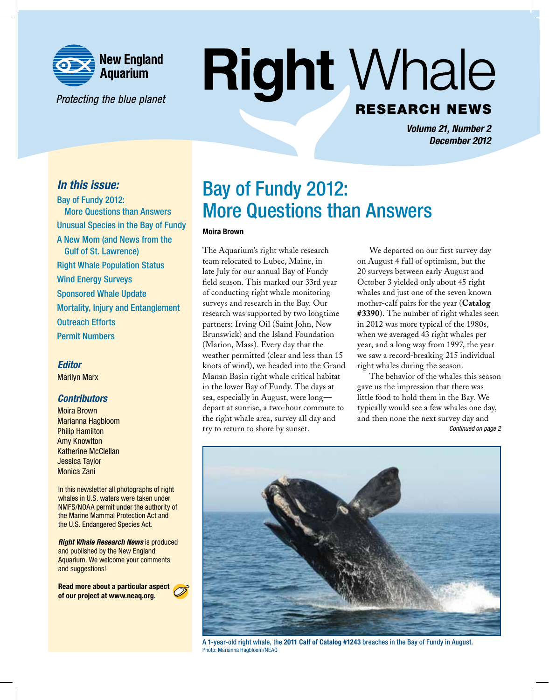

Protecting the blue planet

# **Right Whale RESEARCH NEWS**

*Volume 21, Number 2 December 2012*

### *In this issue:*

Bay of Fundy 2012: More Questions than Answers Unusual Species in the Bay of Fundy A New Mom (and News from the Gulf of St. Lawrence) Right Whale Population Status Wind Energy Surveys Sponsored Whale Update Mortality, Injury and Entanglement Outreach Efforts Permit Numbers

#### *Editor*

Marilyn Marx

### *Contributors*

Moira Brown Marianna Hagbloom Philip Hamilton Amy Knowlton Katherine McClellan Jessica Taylor Monica Zani

In this newsletter all photographs of right whales in U.S. waters were taken under NMFS/NOAA permit under the authority of the Marine Mammal Protection Act and the U.S. Endangered Species Act.

*Right Whale Research News* is produced and published by the New England Aquarium. We welcome your comments and suggestions!

Read more about a particular aspect of our project at www.neaq.org.

## Bay of Fundy 2012: More Questions than Answers

#### Moira Brown

The Aquarium's right whale research team relocated to Lubec, Maine, in late July for our annual Bay of Fundy field season. This marked our 33rd year of conducting right whale monitoring surveys and research in the Bay. Our research was supported by two longtime partners: Irving Oil (Saint John, New Brunswick) and the Island Foundation (Marion, Mass). Every day that the weather permitted (clear and less than 15 knots of wind), we headed into the Grand Manan Basin right whale critical habitat in the lower Bay of Fundy. The days at sea, especially in August, were long depart at sunrise, a two-hour commute to the right whale area, survey all day and try to return to shore by sunset.

We departed on our first survey day on August 4 full of optimism, but the 20 surveys between early August and October 3 yielded only about 45 right whales and just one of the seven known mother-calf pairs for the year (**Catalog #3390**). The number of right whales seen in 2012 was more typical of the 1980s, when we averaged 43 right whales per year, and a long way from 1997, the year we saw a record-breaking 215 individual right whales during the season.

The behavior of the whales this season gave us the impression that there was little food to hold them in the Bay. We typically would see a few whales one day, and then none the next survey day and *Continued on page 2*



A 1-year-old right whale, the 2011 Calf of Catalog #1243 breaches in the Bay of Fundy in August. Photo: Marianna Hagbloom/NEAQ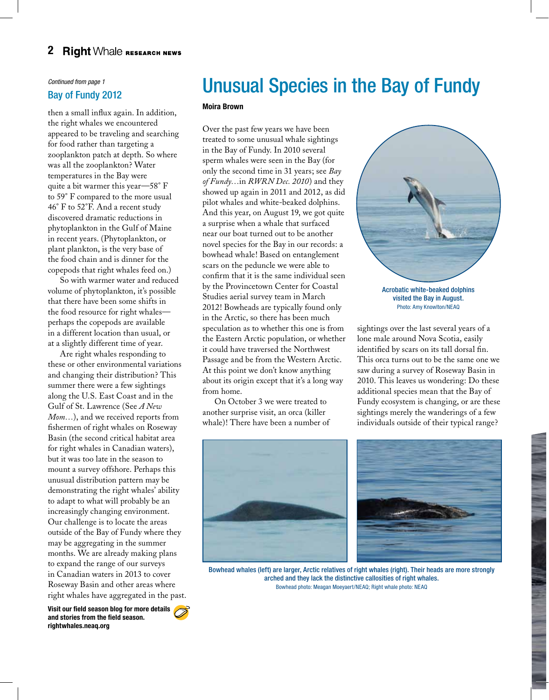### *Continued from page 1* Bay of Fundy 2012

then a small influx again. In addition, the right whales we encountered appeared to be traveling and searching for food rather than targeting a zooplankton patch at depth. So where was all the zooplankton? Water temperatures in the Bay were quite a bit warmer this year—58° F to 59° F compared to the more usual 46° F to 52°F. And a recent study discovered dramatic reductions in phytoplankton in the Gulf of Maine in recent years. (Phytoplankton, or plant plankton, is the very base of the food chain and is dinner for the copepods that right whales feed on.)

So with warmer water and reduced volume of phytoplankton, it's possible that there have been some shifts in the food resource for right whales perhaps the copepods are available in a different location than usual, or at a slightly different time of year.

Are right whales responding to these or other environmental variations and changing their distribution? This summer there were a few sightings along the U.S. East Coast and in the Gulf of St. Lawrence (See *A New Mom...*), and we received reports from fishermen of right whales on Roseway Basin (the second critical habitat area for right whales in Canadian waters), but it was too late in the season to mount a survey offshore. Perhaps this unusual distribution pattern may be demonstrating the right whales' ability to adapt to what will probably be an increasingly changing environment. Our challenge is to locate the areas outside of the Bay of Fundy where they may be aggregating in the summer months. We are already making plans to expand the range of our surveys in Canadian waters in 2013 to cover Roseway Basin and other areas where right whales have aggregated in the past.

Visit our field season blog for more details and stories from the field season. rightwhales.neaq.org

# Unusual Species in the Bay of Fundy

#### Moira Brown

Over the past few years we have been treated to some unusual whale sightings in the Bay of Fundy. In 2010 several sperm whales were seen in the Bay (for only the second time in 31 years; see *Bay of Fundy…*in *RWRN Dec. 2010*) and they showed up again in 2011 and 2012, as did pilot whales and white-beaked dolphins. And this year, on August 19, we got quite a surprise when a whale that surfaced near our boat turned out to be another novel species for the Bay in our records: a bowhead whale! Based on entanglement scars on the peduncle we were able to confirm that it is the same individual seen by the Provincetown Center for Coastal Studies aerial survey team in March 2012! Bowheads are typically found only in the Arctic, so there has been much speculation as to whether this one is from the Eastern Arctic population, or whether it could have traversed the Northwest Passage and be from the Western Arctic. At this point we don't know anything about its origin except that it's a long way from home.

On October 3 we were treated to another surprise visit, an orca (killer whale)! There have been a number of



visited the Bay in August. Photo: Amy Knowlton/NEAQ

sightings over the last several years of a lone male around Nova Scotia, easily identified by scars on its tall dorsal fin. This orca turns out to be the same one we saw during a survey of Roseway Basin in 2010. This leaves us wondering: Do these additional species mean that the Bay of Fundy ecosystem is changing, or are these sightings merely the wanderings of a few individuals outside of their typical range?





Bowhead whales (left) are larger, Arctic relatives of right whales (right). Their heads are more strongly arched and they lack the distinctive callosities of right whales. Bowhead photo: Meagan Moeyaert/NEAQ; Right whale photo: NEAQ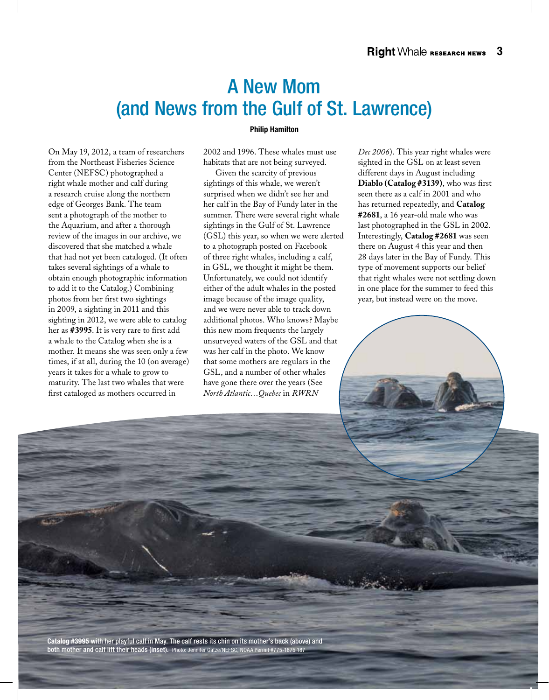## A New Mom (and News from the Gulf of St. Lawrence)

#### Philip Hamilton

On May 19, 2012, a team of researchers from the Northeast Fisheries Science Center (NEFSC) photographed a right whale mother and calf during a research cruise along the northern edge of Georges Bank. The team sent a photograph of the mother to the Aquarium, and after a thorough review of the images in our archive, we discovered that she matched a whale that had not yet been cataloged. (It often takes several sightings of a whale to obtain enough photographic information to add it to the Catalog.) Combining photos from her first two sightings in 2009, a sighting in 2011 and this sighting in 2012, we were able to catalog her as **#3995**. It is very rare to first add a whale to the Catalog when she is a mother. It means she was seen only a few times, if at all, during the 10 (on average) years it takes for a whale to grow to maturity. The last two whales that were first cataloged as mothers occurred in

2002 and 1996. These whales must use habitats that are not being surveyed.

Given the scarcity of previous sightings of this whale, we weren't surprised when we didn't see her and her calf in the Bay of Fundy later in the summer. There were several right whale sightings in the Gulf of St. Lawrence (GSL) this year, so when we were alerted to a photograph posted on Facebook of three right whales, including a calf, in GSL, we thought it might be them. Unfortunately, we could not identify either of the adult whales in the posted image because of the image quality, and we were never able to track down additional photos. Who knows? Maybe this new mom frequents the largely unsurveyed waters of the GSL and that was her calf in the photo. We know that some mothers are regulars in the GSL, and a number of other whales have gone there over the years (See *North Atlantic…Quebec* in *RWRN* 

*Dec 2006*). This year right whales were sighted in the GSL on at least seven different days in August including **Diablo (Catalog #3139)**, who was first seen there as a calf in 2001 and who has returned repeatedly, and **Catalog #2681**, a 16 year-old male who was last photographed in the GSL in 2002. Interestingly, **Catalog #2681** was seen there on August 4 this year and then 28 days later in the Bay of Fundy. This type of movement supports our belief that right whales were not settling down in one place for the summer to feed this year, but instead were on the move.



Catalog #3995 with her playful calf in May. The calf rests its chin on its mother's back (above) and both mother and calf lift their heads (inset). Photo: Jennifer Gatze/NEFSC, NOAA Permit #775-1875 187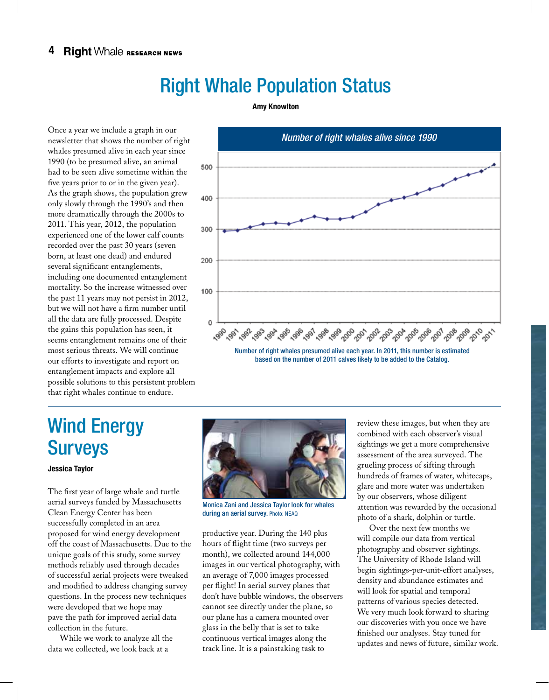# Right Whale Population Status

#### Amy Knowlton

Once a year we include a graph in our newsletter that shows the number of right whales presumed alive in each year since 1990 (to be presumed alive, an animal had to be seen alive sometime within the five years prior to or in the given year). As the graph shows, the population grew only slowly through the 1990's and then more dramatically through the 2000s to 2011. This year, 2012, the population experienced one of the lower calf counts recorded over the past 30 years (seven born, at least one dead) and endured several significant entanglements, including one documented entanglement mortality. So the increase witnessed over the past 11 years may not persist in 2012, but we will not have a firm number until all the data are fully processed. Despite the gains this population has seen, it seems entanglement remains one of their most serious threats. We will continue our efforts to investigate and report on entanglement impacts and explore all possible solutions to this persistent problem that right whales continue to endure.



# Wind Energy **Surveys**

Jessica Taylor

The first year of large whale and turtle aerial surveys funded by Massachusetts Clean Energy Center has been successfully completed in an area proposed for wind energy development off the coast of Massachusetts. Due to the unique goals of this study, some survey methods reliably used through decades of successful aerial projects were tweaked and modified to address changing survey questions. In the process new techniques were developed that we hope may pave the path for improved aerial data collection in the future.

While we work to analyze all the data we collected, we look back at a



Monica Zani and Jessica Taylor look for whales during an aerial survey. Photo: NEAQ

productive year. During the 140 plus hours of flight time (two surveys per month), we collected around 144,000 images in our vertical photography, with an average of 7,000 images processed per flight! In aerial survey planes that don't have bubble windows, the observers cannot see directly under the plane, so our plane has a camera mounted over glass in the belly that is set to take continuous vertical images along the track line. It is a painstaking task to

review these images, but when they are combined with each observer's visual sightings we get a more comprehensive assessment of the area surveyed. The grueling process of sifting through hundreds of frames of water, whitecaps, glare and more water was undertaken by our observers, whose diligent attention was rewarded by the occasional photo of a shark, dolphin or turtle.

Over the next few months we will compile our data from vertical photography and observer sightings. The University of Rhode Island will begin sightings-per-unit-effort analyses, density and abundance estimates and will look for spatial and temporal patterns of various species detected. We very much look forward to sharing our discoveries with you once we have finished our analyses. Stay tuned for updates and news of future, similar work.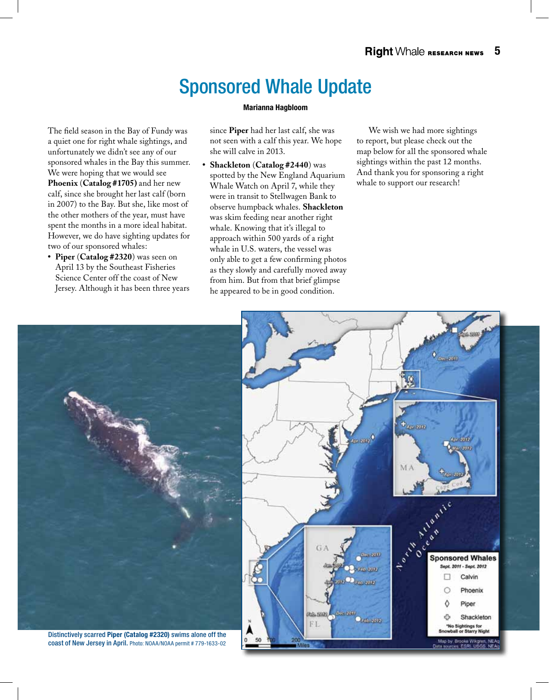# Sponsored Whale Update

#### Marianna Hagbloom

The field season in the Bay of Fundy was a quiet one for right whale sightings, and unfortunately we didn't see any of our sponsored whales in the Bay this summer. We were hoping that we would see **Phoenix** (**Catalog #1705)** and her new calf, since she brought her last calf (born in 2007) to the Bay. But she, like most of the other mothers of the year, must have spent the months in a more ideal habitat. However, we do have sighting updates for two of our sponsored whales:

**• Piper** (**Catalog #2320**) was seen on April 13 by the Southeast Fisheries Science Center off the coast of New Jersey. Although it has been three years since **Piper** had her last calf, she was not seen with a calf this year. We hope she will calve in 2013.

**• Shackleton** (**Catalog #2440**) was spotted by the New England Aquarium Whale Watch on April 7, while they were in transit to Stellwagen Bank to observe humpback whales. **Shackleton** was skim feeding near another right whale. Knowing that it's illegal to approach within 500 yards of a right whale in U.S. waters, the vessel was only able to get a few confirming photos as they slowly and carefully moved away from him. But from that brief glimpse he appeared to be in good condition.

We wish we had more sightings to report, but please check out the map below for all the sponsored whale sightings within the past 12 months. And thank you for sponsoring a right whale to support our research!



coast of New Jersey in April. Photo: NOAA/NOAA permit # 779-1633-02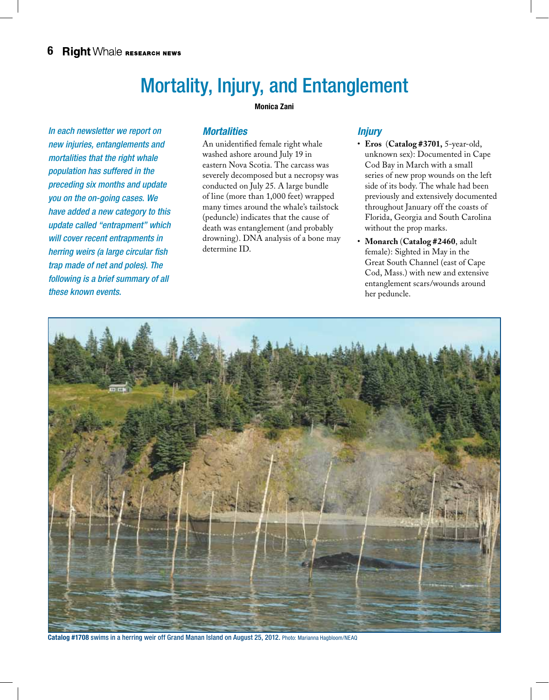# Mortality, Injury, and Entanglement

Monica Zani

*In each newsletter we report on new injuries, entanglements and mortalities that the right whale population has suffered in the preceding six months and update you on the on-going cases. We have added a new category to this update called "entrapment" which will cover recent entrapments in herring weirs (a large circular fish trap made of net and poles). The following is a brief summary of all these known events.* 

### *Mortalities*

An unidentified female right whale washed ashore around July 19 in eastern Nova Scotia. The carcass was severely decomposed but a necropsy was conducted on July 25. A large bundle of line (more than 1,000 feet) wrapped many times around the whale's tailstock (peduncle) indicates that the cause of death was entanglement (and probably drowning). DNA analysis of a bone may determine ID.

### *Injury*

- • **Eros** (**Catalog #3701,** 5-year-old, unknown sex): Documented in Cape Cod Bay in March with a small series of new prop wounds on the left side of its body. The whale had been previously and extensively documented throughout January off the coasts of Florida, Georgia and South Carolina without the prop marks.
- • **Monarch** (**Catalog #2460**, adult female): Sighted in May in the Great South Channel (east of Cape Cod, Mass.) with new and extensive entanglement scars/wounds around her peduncle.



Catalog #1708 swims in a herring weir off Grand Manan Island on August 25, 2012. Photo: Marianna Hagbloom/NEAQ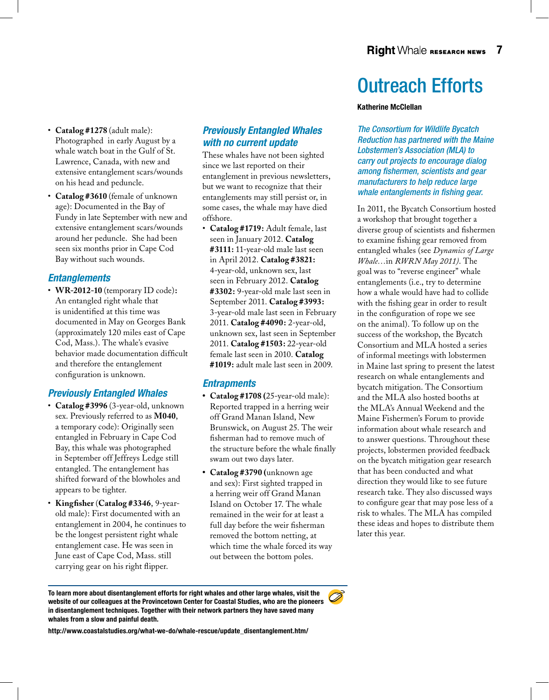- • **Catalog #1278** (adult male): Photographed in early August by a whale watch boat in the Gulf of St. Lawrence, Canada, with new and extensive entanglement scars/wounds on his head and peduncle.
- • **Catalog #3610** (female of unknown age): Documented in the Bay of Fundy in late September with new and extensive entanglement scars/wounds around her peduncle. She had been seen six months prior in Cape Cod Bay without such wounds.

### *Entanglements*

• **WR-2012-10** (temporary ID code)**:** An entangled right whale that is unidentified at this time was documented in May on Georges Bank (approximately 120 miles east of Cape Cod, Mass.). The whale's evasive behavior made documentation difficult and therefore the entanglement configuration is unknown.

### *Previously Entangled Whales*

- • **Catalog #3996** (3-year-old, unknown sex. Previously referred to as **M040**, a temporary code): Originally seen entangled in February in Cape Cod Bay, this whale was photographed in September off Jeffreys Ledge still entangled. The entanglement has shifted forward of the blowholes and appears to be tighter.
- • **Kingfisher** (**Catalog #3346**, 9-yearold male): First documented with an entanglement in 2004, he continues to be the longest persistent right whale entanglement case. He was seen in June east of Cape Cod, Mass. still carrying gear on his right flipper.

### *Previously Entangled Whales with no current update*

These whales have not been sighted since we last reported on their entanglement in previous newsletters, but we want to recognize that their entanglements may still persist or, in some cases, the whale may have died offshore.

• **Catalog #1719:** Adult female, last seen in January 2012. **Catalog #3111:** 11-year-old male last seen in April 2012. **Catalog #3821:**  4-year-old, unknown sex, last seen in February 2012. **Catalog #3302:** 9-year-old male last seen in September 2011. **Catalog #3993:**  3-year-old male last seen in February 2011. **Catalog #4090:** 2-year-old, unknown sex, last seen in September 2011. **Catalog #1503:** 22-year-old female last seen in 2010. **Catalog #1019:** adult male last seen in 2009.

### *Entrapments*

- **• Catalog #1708 (**25-year-old male): Reported trapped in a herring weir off Grand Manan Island, New Brunswick, on August 25. The weir fisherman had to remove much of the structure before the whale finally swam out two days later.
- **• Catalog #3790 (**unknown age and sex): First sighted trapped in a herring weir off Grand Manan Island on October 17. The whale remained in the weir for at least a full day before the weir fisherman removed the bottom netting, at which time the whale forced its way out between the bottom poles.

# Outreach Efforts

#### Katherine McClellan

*The Consortium for Wildlife Bycatch Reduction has partnered with the Maine Lobstermen's Association (MLA) to carry out projects to encourage dialog among fishermen, scientists and gear manufacturers to help reduce large whale entanglements in fishing gear.*

In 2011, the Bycatch Consortium hosted a workshop that brought together a diverse group of scientists and fishermen to examine fishing gear removed from entangled whales (see *Dynamics of Large Whale…*in *RWRN May 2011)*. The goal was to "reverse engineer" whale entanglements (i.e., try to determine how a whale would have had to collide with the fishing gear in order to result in the configuration of rope we see on the animal). To follow up on the success of the workshop, the Bycatch Consortium and MLA hosted a series of informal meetings with lobstermen in Maine last spring to present the latest research on whale entanglements and bycatch mitigation. The Consortium and the MLA also hosted booths at the MLA's Annual Weekend and the Maine Fishermen's Forum to provide information about whale research and to answer questions. Throughout these projects, lobstermen provided feedback on the bycatch mitigation gear research that has been conducted and what direction they would like to see future research take. They also discussed ways to configure gear that may pose less of a risk to whales. The MLA has compiled these ideas and hopes to distribute them later this year.

To learn more about disentanglement efforts for right whales and other large whales, visit the website of our colleagues at the Provincetown Center for Coastal Studies, who are the pioneers in disentanglement techniques. Together with their network partners they have saved many whales from a slow and painful death.

http://www.coastalstudies.org/what-we-do/whale-rescue/update\_disentanglement.htm/